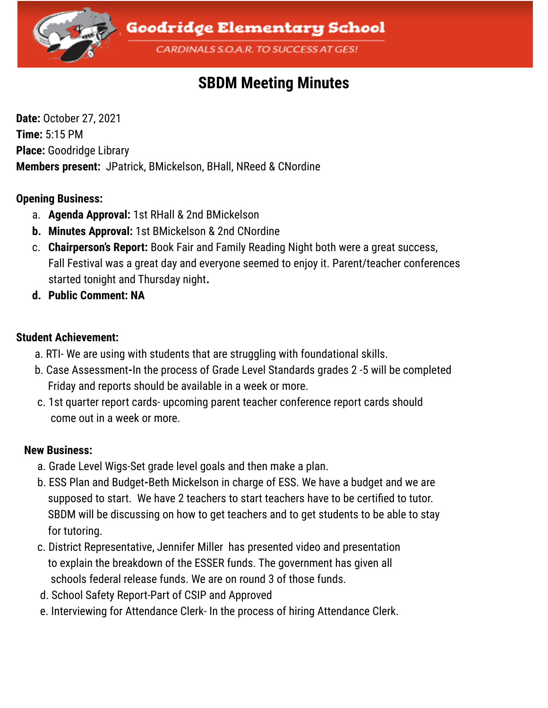

# **SBDM Meeting Minutes**

**Date:** October 27, 2021 **Time:** 5:15 PM **Place:** Goodridge Library **Members present:** JPatrick, BMickelson, BHall, NReed & CNordine

### **Opening Business:**

- a. **Agenda Approval:** 1st RHall & 2nd BMickelson
- **b. Minutes Approval:** 1st BMickelson & 2nd CNordine
- c. **Chairperson's Report:** Book Fair and Family Reading Night both were a great success, Fall Festival was a great day and everyone seemed to enjoy it. Parent/teacher conferences started tonight and Thursday night**.**
- **d. Public Comment: NA**

### **Student Achievement:**

- a. RTI- We are using with students that are struggling with foundational skills.
- b. Case Assessment**-**In the process of Grade Level Standards grades 2 -5 will be completed Friday and reports should be available in a week or more.
- c. 1st quarter report cards- upcoming parent teacher conference report cards should come out in a week or more.

### **New Business:**

- a. Grade Level Wigs-Set grade level goals and then make a plan.
- b. ESS Plan and Budget**-**Beth Mickelson in charge of ESS. We have a budget and we are supposed to start. We have 2 teachers to start teachers have to be certified to tutor. SBDM will be discussing on how to get teachers and to get students to be able to stay for tutoring.
- c. District Representative, Jennifer Miller has presented video and presentation to explain the breakdown of the ESSER funds. The government has given all schools federal release funds. We are on round 3 of those funds.
- d. School Safety Report-Part of CSIP and Approved
- e. Interviewing for Attendance Clerk- In the process of hiring Attendance Clerk.